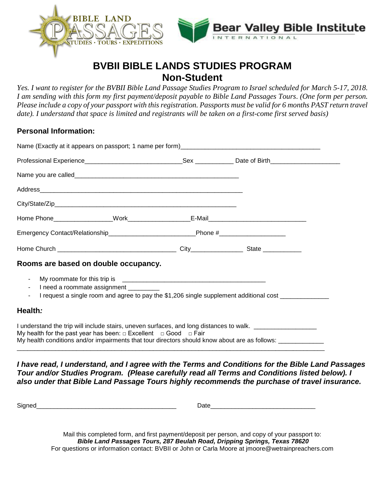



# **BVBII BIBLE LANDS STUDIES PROGRAM Non-Student**

*Yes. I want to register for the BVBII Bible Land Passage Studies Program to Israel scheduled for March 5-17, 2018. I am sending with this form my first payment/deposit payable to Bible Land Passages Tours*. *(One form per person. Please include a copy of your passport with this registration. Passports must be valid for 6 months PAST return travel date). I understand that space is limited and registrants will be taken on a first-come first served basis)* 

## **Personal Information:**

| Emergency Contact/Relationship___________________________________Phone #___________________________                                                                                                                                                                                                       |  |  |  |
|-----------------------------------------------------------------------------------------------------------------------------------------------------------------------------------------------------------------------------------------------------------------------------------------------------------|--|--|--|
|                                                                                                                                                                                                                                                                                                           |  |  |  |
| Rooms are based on double occupancy.                                                                                                                                                                                                                                                                      |  |  |  |
| $\blacksquare$<br>I need a roommate assignment<br>$\blacksquare$<br>I request a single room and agree to pay the \$1,206 single supplement additional cost _____________<br>$\sim$                                                                                                                        |  |  |  |
| Health:                                                                                                                                                                                                                                                                                                   |  |  |  |
| I understand the trip will include stairs, uneven surfaces, and long distances to walk. _________________<br>My health for the past year has been: $\Box$ Excellent $\Box$ Good $\Box$ Fair<br>My health conditions and/or impairments that tour directors should know about are as follows: ____________ |  |  |  |

*I have read, I understand, and I agree with the Terms and Conditions for the Bible Land Passages Tour and/or Studies Program. (Please carefully read all Terms and Conditions listed below). I also under that Bible Land Passage Tours highly recommends the purchase of travel insurance.* 

Signed\_\_\_\_\_\_\_\_\_\_\_\_\_\_\_\_\_\_\_\_\_\_\_\_\_\_\_\_\_\_\_\_\_\_\_\_\_\_\_\_ Date\_\_\_\_\_\_\_\_\_\_\_\_\_\_\_\_\_\_\_\_\_\_\_\_\_\_\_\_\_\_

Mail this completed form, and first payment/deposit per person, and copy of your passport to: *Bible Land Passages Tours, 287 Beulah Road, Dripping Springs, Texas 78620* For questions or information contact: BVBII or John or Carla Moore at jmoore@wetrainpreachers.com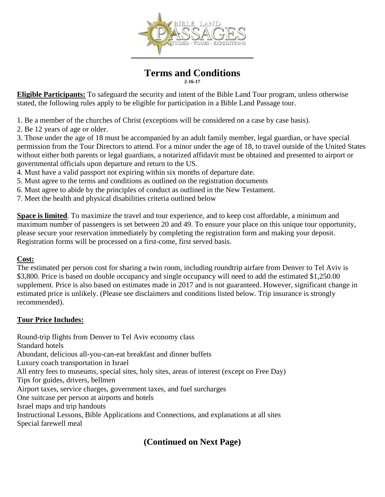

#### **Terms and Conditions 2-16-17**

**Eligible Participants:** To safeguard the security and intent of the Bible Land Tour program, unless otherwise stated, the following rules apply to be eligible for participation in a Bible Land Passage tour.

1. Be a member of the churches of Christ (exceptions will be considered on a case by case basis).

2. Be 12 years of age or older.

3. Those under the age of 18 must be accompanied by an adult family member, legal guardian, or have special permission from the Tour Directors to attend. For a minor under the age of 18, to travel outside of the United States without either both parents or legal guardians, a notarized affidavit must be obtained and presented to airport or governmental officials upon departure and return to the US.

- 4. Must have a valid passport not expiring within six months of departure date.
- 5. Must agree to the terms and conditions as outlined on the registration documents
- 6. Must agree to abide by the principles of conduct as outlined in the New Testament.
- 7. Meet the health and physical disabilities criteria outlined below

**Space is limited**. To maximize the travel and tour experience, and to keep cost affordable, a minimum and maximum number of passengers is set between 20 and 49. To ensure your place on this unique tour opportunity, please secure your reservation immediately by completing the registration form and making your deposit. Registration forms will be processed on a first-come, first served basis.

## **Cost:**

The estimated per person cost for sharing a twin room, including roundtrip airfare from Denver to Tel Aviv is \$3,800. Price is based on double occupancy and single occupancy will need to add the estimated \$1,250.00 supplement. Price is also based on estimates made in 2017 and is not guaranteed. However, significant change in estimated price is unlikely. (Please see disclaimers and conditions listed below. Trip insurance is strongly recommended).

### **Tour Price Includes:**

Round-trip flights from Denver to Tel Aviv economy class Standard hotels Abundant, delicious all-you-can-eat breakfast and dinner buffets Luxury coach transportation in Israel All entry fees to museums, special sites, holy sites, areas of interest (except on Free Day) Tips for guides, drivers, bellmen Airport taxes, service charges, government taxes, and fuel surcharges One suitcase per person at airports and hotels Israel maps and trip handouts Instructional Lessons, Bible Applications and Connections, and explanations at all sites Special farewell meal

## **(Continued on Next Page)**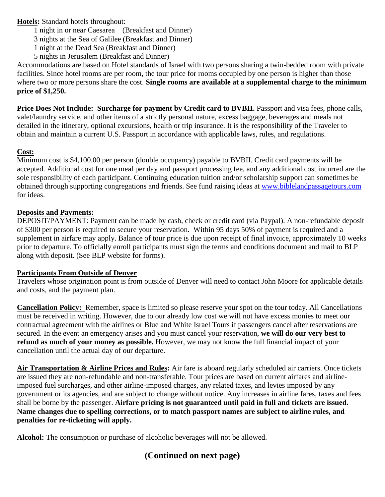### **Hotels:** Standard hotels throughout:

- 1 night in or near Caesarea (Breakfast and Dinner)
- 3 nights at the Sea of Galilee (Breakfast and Dinner)
- 1 night at the Dead Sea (Breakfast and Dinner)
- 5 nights in Jerusalem (Breakfast and Dinner)

Accommodations are based on Hotel standards of Israel with two persons sharing a twin-bedded room with private facilities. Since hotel rooms are per room, the tour price for rooms occupied by one person is higher than those where two or more persons share the cost. **Single rooms are available at a supplemental charge to the minimum price of \$1,250.** 

**Price Does Not Include: Surcharge for payment by Credit card to BVBII.** Passport and visa fees, phone calls, valet/laundry service, and other items of a strictly personal nature, excess baggage, beverages and meals not detailed in the itinerary, optional excursions, health or trip insurance. It is the responsibility of the Traveler to obtain and maintain a current U.S. Passport in accordance with applicable laws, rules, and regulations.

## **Cost:**

Minimum cost is \$4,100.00 per person (double occupancy) payable to BVBII. Credit card payments will be accepted. Additional cost for one meal per day and passport processing fee, and any additional cost incurred are the sole responsibility of each participant. Continuing education tuition and/or scholarship support can sometimes be obtained through supporting congregations and friends. See fund raising ideas at [www.biblelandpassagetours.com](http://www.biblelandpassagetours.com/) for ideas.

## **Deposits and Payments:**

DEPOSIT/PAYMENT: Payment can be made by cash, check or credit card (via Paypal). A non-refundable deposit of \$300 per person is required to secure your reservation. Within 95 days 50% of payment is required and a supplement in airfare may apply. Balance of tour price is due upon receipt of final invoice, approximately 10 weeks prior to departure. To officially enroll participants must sign the terms and conditions document and mail to BLP along with deposit. (See BLP website for forms).

## **Participants From Outside of Denver**

Travelers whose origination point is from outside of Denver will need to contact John Moore for applicable details and costs, and the payment plan.

**Cancellation Policy:** Remember, space is limited so please reserve your spot on the tour today. All Cancellations must be received in writing. However, due to our already low cost we will not have excess monies to meet our contractual agreement with the airlines or Blue and White Israel Tours if passengers cancel after reservations are secured. In the event an emergency arises and you must cancel your reservation, **we will do our very best to refund as much of your money as possible.** However, we may not know the full financial impact of your cancellation until the actual day of our departure.

**Air Transportation & Airline Prices and Rules:** Air fare is aboard regularly scheduled air carriers. Once tickets are issued they are non-refundable and non-transferable. Tour prices are based on current airfares and airlineimposed fuel surcharges, and other airline-imposed charges, any related taxes, and levies imposed by any government or its agencies, and are subject to change without notice. Any increases in airline fares, taxes and fees shall be borne by the passenger. **Airfare pricing is not guaranteed until paid in full and tickets are issued. Name changes due to spelling corrections, or to match passport names are subject to airline rules, and penalties for re-ticketing will apply.** 

**Alcohol:** The consumption or purchase of alcoholic beverages will not be allowed.

# **(Continued on next page)**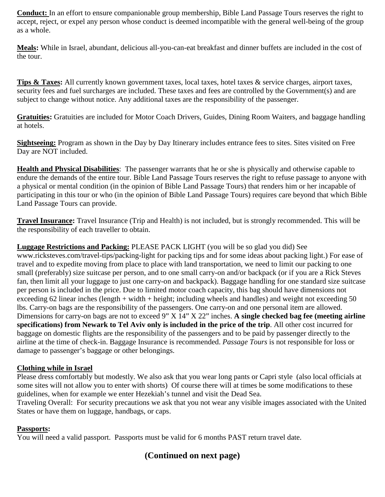**Conduct:** In an effort to ensure companionable group membership, Bible Land Passage Tours reserves the right to accept, reject, or expel any person whose conduct is deemed incompatible with the general well-being of the group as a whole.

**Meals:** While in Israel, abundant, delicious all-you-can-eat breakfast and dinner buffets are included in the cost of the tour.

**Tips & Taxes:** All currently known government taxes, local taxes, hotel taxes & service charges, airport taxes, security fees and fuel surcharges are included. These taxes and fees are controlled by the Government(s) and are subject to change without notice. Any additional taxes are the responsibility of the passenger.

**Gratuities:** Gratuities are included for Motor Coach Drivers, Guides, Dining Room Waiters, and baggage handling at hotels.

**Sightseeing:** Program as shown in the Day by Day Itinerary includes entrance fees to sites. Sites visited on Free Day are NOT included.

**Health and Physical Disabilities**: The passenger warrants that he or she is physically and otherwise capable to endure the demands of the entire tour. Bible Land Passage Tours reserves the right to refuse passage to anyone with a physical or mental condition (in the opinion of Bible Land Passage Tours) that renders him or her incapable of participating in this tour or who (in the opinion of Bible Land Passage Tours) requires care beyond that which Bible Land Passage Tours can provide.

**Travel Insurance:** Travel Insurance (Trip and Health) is not included, but is strongly recommended. This will be the responsibility of each traveller to obtain.

## **Luggage Restrictions and Packing:** PLEASE PACK LIGHT (you will be so glad you did) See

www.ricksteves.com/travel-tips/packing-light for packing tips and for some ideas about packing light.) For ease of travel and to expedite moving from place to place with land transportation, we need to limit our packing to one small (preferably) size suitcase per person, and to one small carry-on and/or backpack (or if you are a Rick Steves fan, then limit all your luggage to just one carry-on and backpack). Baggage handling for one standard size suitcase per person is included in the price. Due to limited motor coach capacity, this bag should have dimensions not exceeding 62 linear inches (length + width + height; including wheels and handles) and weight not exceeding 50 lbs. Carry-on bags are the responsibility of the passengers. One carry-on and one personal item are allowed. Dimensions for carry-on bags are not to exceed 9" X 14" X 22" inches. **A single checked bag fee (meeting airline specifications) from Newark to Tel Aviv only is included in the price of the trip**. All other cost incurred for baggage on domestic flights are the responsibility of the passengers and to be paid by passenger directly to the airline at the time of check-in. Baggage Insurance is recommended. *Passage Tours* is not responsible for loss or damage to passenger's baggage or other belongings.

### **Clothing while in Israel**

Please dress comfortably but modestly. We also ask that you wear long pants or Capri style (also local officials at some sites will not allow you to enter with shorts) Of course there will at times be some modifications to these guidelines, when for example we enter Hezekiah's tunnel and visit the Dead Sea.

Traveling Overall: For security precautions we ask that you not wear any visible images associated with the United States or have them on luggage, handbags, or caps.

### **Passports:**

You will need a valid passport. Passports must be valid for 6 months PAST return travel date.

## **(Continued on next page)**